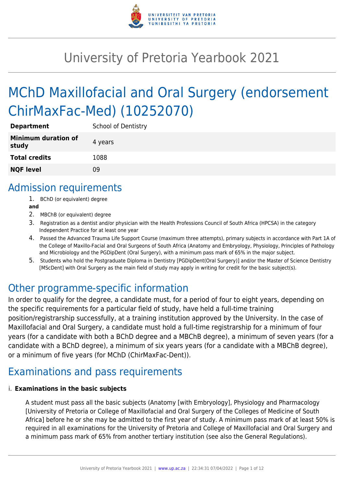

# University of Pretoria Yearbook 2021

# MChD Maxillofacial and Oral Surgery (endorsement ChirMaxFac-Med) (10252070)

| <b>Department</b>                   | <b>School of Dentistry</b> |
|-------------------------------------|----------------------------|
| <b>Minimum duration of</b><br>study | 4 years                    |
| <b>Total credits</b>                | 1088                       |
| <b>NQF level</b>                    | Ωg                         |

### Admission requirements

- 1. BChD (or equivalent) degree
- **and**
- 2. MBChB (or equivalent) degree
- 3. Registration as a dentist and/or physician with the Health Professions Council of South Africa (HPCSA) in the category Independent Practice for at least one year
- 4. Passed the Advanced Trauma Life Support Course (maximum three attempts), primary subjects in accordance with Part 1A of the College of Maxillo-Facial and Oral Surgeons of South Africa (Anatomy and Embryology, Physiology, Principles of Pathology and Microbiology and the PGDipDent (Oral Surgery), with a minimum pass mark of 65% in the major subject.
- 5. Students who hold the Postgraduate Diploma in Dentistry [PGDipDent(Oral Surgery)] and/or the Master of Science Dentistry [MScDent] with Oral Surgery as the main field of study may apply in writing for credit for the basic subject(s).

### Other programme-specific information

In order to qualify for the degree, a candidate must, for a period of four to eight years, depending on the specific requirements for a particular field of study, have held a full-time training position/registrarship successfully, at a training institution approved by the University. In the case of Maxillofacial and Oral Surgery, a candidate must hold a full-time registrarship for a minimum of four years (for a candidate with both a BChD degree and a MBChB degree), a minimum of seven years (for a candidate with a BChD degree), a minimum of six years years (for a candidate with a MBChB degree), or a minimum of five years (for MChD (ChirMaxFac-Dent)).

## Examinations and pass requirements

#### i. **Examinations in the basic subjects**

A student must pass all the basic subjects (Anatomy [with Embryology], Physiology and Pharmacology [University of Pretoria or College of Maxillofacial and Oral Surgery of the Colleges of Medicine of South Africa] before he or she may be admitted to the first year of study. A minimum pass mark of at least 50% is required in all examinations for the University of Pretoria and College of Maxillofacial and Oral Surgery and a minimum pass mark of 65% from another tertiary institution (see also the General Regulations).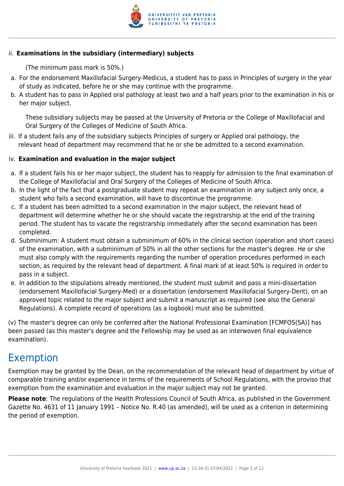

#### ii. **Examinations in the subsidiary (intermediary) subjects**

(The minimum pass mark is 50%.)

- a. For the endorsement Maxillofacial Surgery-Medicus, a student has to pass in Principles of surgery in the year of study as indicated, before he or she may continue with the programme.
- b. A student has to pass in Applied oral pathology at least two and a half years prior to the examination in his or her major subject.

These subsidiary subjects may be passed at the University of Pretoria or the College of Maxillofacial and Oral Surgery of the Colleges of Medicine of South Africa.

iii. If a student fails any of the subsidiary subjects Principles of surgery or Applied oral pathology, the relevant head of department may recommend that he or she be admitted to a second examination.

#### iv. **Examination and evaluation in the major subject**

- a. If a student fails his or her major subject, the student has to reapply for admission to the final examination of the College of Maxillofacial and Oral Surgery of the Colleges of Medicine of South Africa.
- b. In the light of the fact that a postgraduate student may repeat an examination in any subject only once, a student who fails a second examination, will have to discontinue the programme.
- c. If a student has been admitted to a second examination in the major subject, the relevant head of department will determine whether he or she should vacate the registrarship at the end of the training period. The student has to vacate the registrarship immediately after the second examination has been completed.
- d. Subminimum: A student must obtain a subminimum of 60% in the clinical section (operation and short cases) of the examination, with a subminimum of 50% in all the other sections for the master's degree. He or she must also comply with the requirements regarding the number of operation procedures performed in each section, as required by the relevant head of department. A final mark of at least 50% is required in order to pass in a subject.
- e. In addition to the stipulations already mentioned, the student must submit and pass a mini-dissertation (endorsement Maxillofacial Surgery-Med) or a dissertation (endorsement Maxillofacial Surgery-Dent), on an approved topic related to the major subject and submit a manuscript as required (see also the General Regulations). A complete record of operations (as a logbook) must also be submitted.

(v) The master's degree can only be conferred after the National Professional Examination [FCMFOS(SA)] has been passed (as this master's degree and the Fellowship may be used as an interwoven final equivalence examination).

### Exemption

Exemption may be granted by the Dean, on the recommendation of the relevant head of department by virtue of comparable training and/or experience in terms of the requirements of School Regulations, with the proviso that exemption from the examination and evaluation in the major subject may not be granted.

**Please note**: The regulations of the Health Professions Council of South Africa, as published in the Government Gazette No. 4631 of 11 January 1991 – Notice No. R.40 (as amended), will be used as a criterion in determining the period of exemption.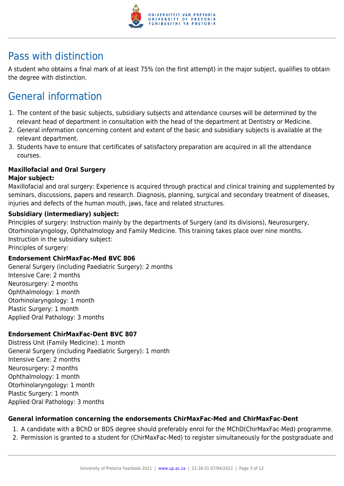

### Pass with distinction

A student who obtains a final mark of at least 75% (on the first attempt) in the major subject, qualifies to obtain the degree with distinction.

# General information

- 1. The content of the basic subjects, subsidiary subjects and attendance courses will be determined by the relevant head of department in consultation with the head of the department at Dentistry or Medicine.
- 2. General information concerning content and extent of the basic and subsidiary subjects is available at the relevant department.
- 3. Students have to ensure that certificates of satisfactory preparation are acquired in all the attendance courses.

#### **Maxillofacial and Oral Surgery**

#### **Major subject:**

Maxillofacial and oral surgery: Experience is acquired through practical and clinical training and supplemented by seminars, discussions, papers and research. Diagnosis, planning, surgical and secondary treatment of diseases, injuries and defects of the human mouth, jaws, face and related structures.

#### **Subsidiary (intermediary) subject:**

Principles of surgery: Instruction mainly by the departments of Surgery (and its divisions), Neurosurgery, Otorhinolaryngology, Ophthalmology and Family Medicine. This training takes place over nine months. Instruction in the subsidiary subject:

Principles of surgery:

#### **Endorsement ChirMaxFac-Med BVC 806**

General Surgery (including Paediatric Surgery): 2 months Intensive Care: 2 months Neurosurgery: 2 months Ophthalmology: 1 month Otorhinolaryngology: 1 month Plastic Surgery: 1 month Applied Oral Pathology: 3 months

#### **Endorsement ChirMaxFac-Dent BVC 807**

Distress Unit (Family Medicine): 1 month General Surgery (including Paediatric Surgery): 1 month Intensive Care: 2 months Neurosurgery: 2 months Ophthalmology: 1 month Otorhinolaryngology: 1 month Plastic Surgery: 1 month Applied Oral Pathology: 3 months

#### **General information concerning the endorsements ChirMaxFac-Med and ChirMaxFac-Dent**

- 1. A candidate with a BChD or BDS degree should preferably enrol for the MChD(ChirMaxFac-Med) programme.
- 2. Permission is granted to a student for (ChirMaxFac-Med) to register simultaneously for the postgraduate and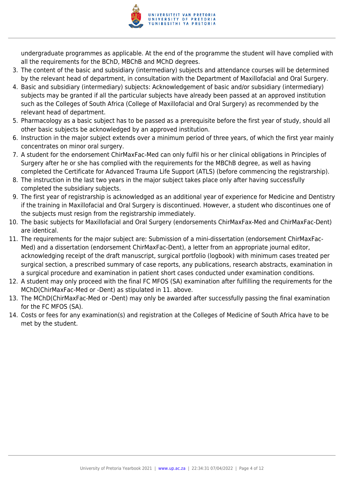

undergraduate programmes as applicable. At the end of the programme the student will have complied with all the requirements for the BChD, MBChB and MChD degrees.

- 3. The content of the basic and subsidiary (intermediary) subjects and attendance courses will be determined by the relevant head of department, in consultation with the Department of Maxillofacial and Oral Surgery.
- 4. Basic and subsidiary (intermediary) subjects: Acknowledgement of basic and/or subsidiary (intermediary) subjects may be granted if all the particular subjects have already been passed at an approved institution such as the Colleges of South Africa (College of Maxillofacial and Oral Surgery) as recommended by the relevant head of department.
- 5. Pharmacology as a basic subject has to be passed as a prerequisite before the first year of study, should all other basic subjects be acknowledged by an approved institution.
- 6. Instruction in the major subject extends over a minimum period of three years, of which the first year mainly concentrates on minor oral surgery.
- 7. A student for the endorsement ChirMaxFac-Med can only fulfil his or her clinical obligations in Principles of Surgery after he or she has complied with the requirements for the MBChB degree, as well as having completed the Certificate for Advanced Trauma Life Support (ATLS) (before commencing the registrarship).
- 8. The instruction in the last two years in the major subject takes place only after having successfully completed the subsidiary subjects.
- 9. The first year of registrarship is acknowledged as an additional year of experience for Medicine and Dentistry if the training in Maxillofacial and Oral Surgery is discontinued. However, a student who discontinues one of the subjects must resign from the registrarship immediately.
- 10. The basic subjects for Maxillofacial and Oral Surgery (endorsements ChirMaxFax-Med and ChirMaxFac-Dent) are identical.
- 11. The requirements for the major subject are: Submission of a mini-dissertation (endorsement ChirMaxFac-Med) and a dissertation (endorsement ChirMaxFac-Dent), a letter from an appropriate journal editor, acknowledging receipt of the draft manuscript, surgical portfolio (logbook) with minimum cases treated per surgical section, a prescribed summary of case reports, any publications, research abstracts, examination in a surgical procedure and examination in patient short cases conducted under examination conditions.
- 12. A student may only proceed with the final FC MFOS (SA) examination after fulfilling the requirements for the MChD(ChirMaxFac-Med or -Dent) as stipulated in 11. above.
- 13. The MChD(ChirMaxFac-Med or -Dent) may only be awarded after successfully passing the final examination for the FC MFOS (SA).
- 14. Costs or fees for any examination(s) and registration at the Colleges of Medicine of South Africa have to be met by the student.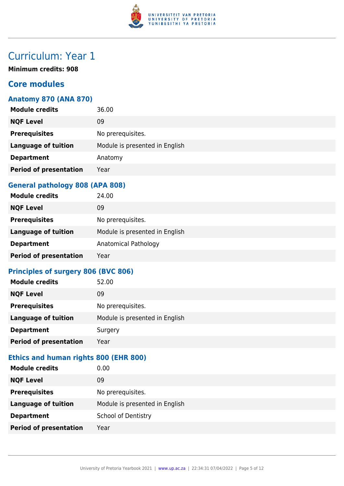

# Curriculum: Year 1

**Minimum credits: 908**

#### **Core modules**

#### **Anatomy 870 (ANA 870)**

| <b>Module credits</b>         | 36.00                          |
|-------------------------------|--------------------------------|
| <b>NQF Level</b>              | 09                             |
| <b>Prerequisites</b>          | No prerequisites.              |
| <b>Language of tuition</b>    | Module is presented in English |
| <b>Department</b>             | Anatomy                        |
| <b>Period of presentation</b> | Year                           |
|                               |                                |

#### **General pathology 808 (APA 808)**

| <b>Module credits</b>         | 24.00                          |
|-------------------------------|--------------------------------|
| <b>NQF Level</b>              | 09                             |
| <b>Prerequisites</b>          | No prerequisites.              |
| <b>Language of tuition</b>    | Module is presented in English |
| <b>Department</b>             | Anatomical Pathology           |
| <b>Period of presentation</b> | Year                           |

#### **Principles of surgery 806 (BVC 806)**

| <b>Module credits</b>         | 52.00                          |
|-------------------------------|--------------------------------|
| <b>NQF Level</b>              | 09                             |
| <b>Prerequisites</b>          | No prerequisites.              |
| <b>Language of tuition</b>    | Module is presented in English |
| <b>Department</b>             | Surgery                        |
| <b>Period of presentation</b> | Year                           |

#### **Ethics and human rights 800 (EHR 800)**

| <b>Module credits</b>         | 0.00                           |
|-------------------------------|--------------------------------|
| <b>NQF Level</b>              | 09                             |
| <b>Prerequisites</b>          | No prerequisites.              |
| <b>Language of tuition</b>    | Module is presented in English |
| <b>Department</b>             | <b>School of Dentistry</b>     |
| <b>Period of presentation</b> | Year                           |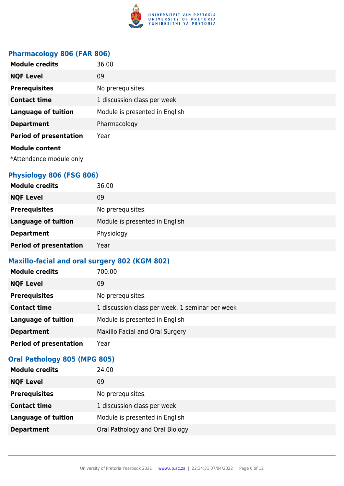

#### **Pharmacology 806 (FAR 806)**

| <b>Module credits</b>                            | 36.00                          |
|--------------------------------------------------|--------------------------------|
| <b>NQF Level</b>                                 | 09                             |
| <b>Prerequisites</b>                             | No prerequisites.              |
| <b>Contact time</b>                              | 1 discussion class per week    |
| <b>Language of tuition</b>                       | Module is presented in English |
| <b>Department</b>                                | Pharmacology                   |
| <b>Period of presentation</b>                    | Year                           |
| <b>Module content</b><br>*Attendance module only |                                |

#### **Physiology 806 (FSG 806)**

| <b>Module credits</b>         | 36.00                          |
|-------------------------------|--------------------------------|
| <b>NQF Level</b>              | 09                             |
| <b>Prerequisites</b>          | No prerequisites.              |
| <b>Language of tuition</b>    | Module is presented in English |
| <b>Department</b>             | Physiology                     |
| <b>Period of presentation</b> | Year                           |

#### **Maxillo-facial and oral surgery 802 (KGM 802)**

| <b>Module credits</b>         | 700.00                                          |
|-------------------------------|-------------------------------------------------|
| <b>NQF Level</b>              | 09                                              |
| <b>Prerequisites</b>          | No prerequisites.                               |
| <b>Contact time</b>           | 1 discussion class per week, 1 seminar per week |
| <b>Language of tuition</b>    | Module is presented in English                  |
| <b>Department</b>             | Maxillo Facial and Oral Surgery                 |
| <b>Period of presentation</b> | Year                                            |

#### **Oral Pathology 805 (MPG 805)**

| <b>Module credits</b>      | 24.00                           |
|----------------------------|---------------------------------|
| <b>NQF Level</b>           | 09                              |
| <b>Prerequisites</b>       | No prerequisites.               |
| <b>Contact time</b>        | 1 discussion class per week     |
| <b>Language of tuition</b> | Module is presented in English  |
| <b>Department</b>          | Oral Pathology and Oral Biology |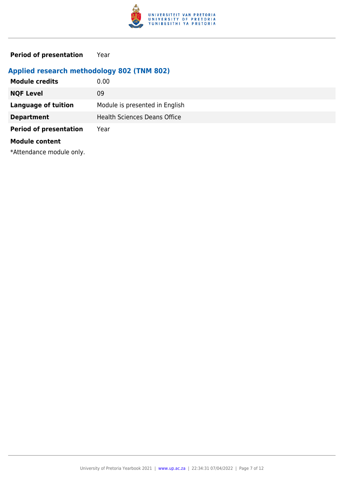

**Period of presentation** Year

#### **Applied research methodology 802 (TNM 802)**

| <b>Module credits</b>         | 0.00                                |
|-------------------------------|-------------------------------------|
| <b>NQF Level</b>              | 09                                  |
| <b>Language of tuition</b>    | Module is presented in English      |
| <b>Department</b>             | <b>Health Sciences Deans Office</b> |
| <b>Period of presentation</b> | Year                                |
| <b>Module content</b>         |                                     |

\*Attendance module only.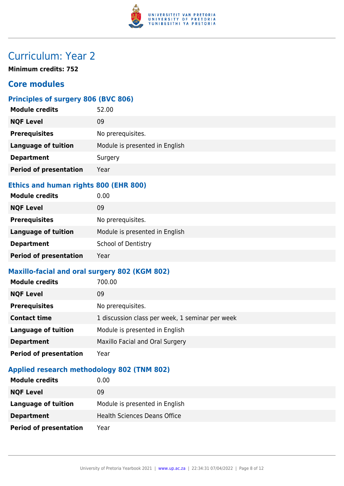

# Curriculum: Year 2

**Minimum credits: 752**

#### **Core modules**

#### **Principles of surgery 806 (BVC 806)**

| <b>Module credits</b>         | 52.00                          |
|-------------------------------|--------------------------------|
| <b>NQF Level</b>              | 09                             |
| <b>Prerequisites</b>          | No prerequisites.              |
| <b>Language of tuition</b>    | Module is presented in English |
| <b>Department</b>             | Surgery                        |
| <b>Period of presentation</b> | Year                           |

#### **Ethics and human rights 800 (EHR 800)**

| <b>Module credits</b>         | 0.00                           |
|-------------------------------|--------------------------------|
| <b>NQF Level</b>              | 09                             |
| <b>Prerequisites</b>          | No prerequisites.              |
| <b>Language of tuition</b>    | Module is presented in English |
| <b>Department</b>             | <b>School of Dentistry</b>     |
| <b>Period of presentation</b> | Year                           |

#### **Maxillo-facial and oral surgery 802 (KGM 802)**

| <b>Module credits</b>         | 700.00                                          |
|-------------------------------|-------------------------------------------------|
| <b>NQF Level</b>              | 09                                              |
| <b>Prerequisites</b>          | No prerequisites.                               |
| <b>Contact time</b>           | 1 discussion class per week, 1 seminar per week |
| <b>Language of tuition</b>    | Module is presented in English                  |
| <b>Department</b>             | Maxillo Facial and Oral Surgery                 |
| <b>Period of presentation</b> | Year                                            |

#### **Applied research methodology 802 (TNM 802)**

| <b>Module credits</b>         | 0.00                                |
|-------------------------------|-------------------------------------|
| <b>NQF Level</b>              | 09                                  |
| Language of tuition           | Module is presented in English      |
| <b>Department</b>             | <b>Health Sciences Deans Office</b> |
| <b>Period of presentation</b> | Year                                |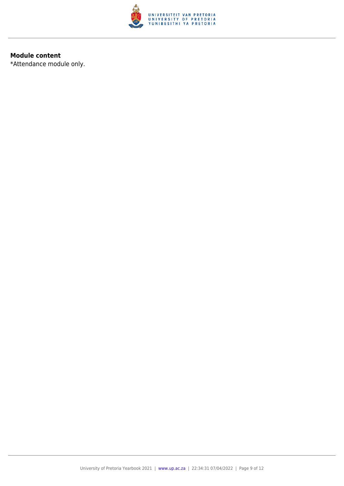

#### **Module content**

\*Attendance module only.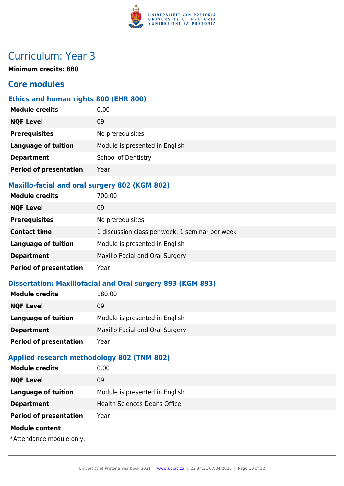

# Curriculum: Year 3

**Minimum credits: 880**

#### **Core modules**

#### **Ethics and human rights 800 (EHR 800)**

| <b>Module credits</b>         | 0.00                           |
|-------------------------------|--------------------------------|
| <b>NQF Level</b>              | 09                             |
| <b>Prerequisites</b>          | No prerequisites.              |
| <b>Language of tuition</b>    | Module is presented in English |
| <b>Department</b>             | <b>School of Dentistry</b>     |
| <b>Period of presentation</b> | Year                           |
|                               |                                |

#### **Maxillo-facial and oral surgery 802 (KGM 802)**

| <b>Module credits</b>         | 700.00                                          |
|-------------------------------|-------------------------------------------------|
| <b>NQF Level</b>              | 09                                              |
| <b>Prerequisites</b>          | No prerequisites.                               |
| <b>Contact time</b>           | 1 discussion class per week, 1 seminar per week |
| <b>Language of tuition</b>    | Module is presented in English                  |
| <b>Department</b>             | Maxillo Facial and Oral Surgery                 |
| <b>Period of presentation</b> | Year                                            |

#### **Dissertation: Maxillofacial and Oral surgery 893 (KGM 893)**

| <b>Module credits</b>         | 180.00                          |
|-------------------------------|---------------------------------|
| <b>NQF Level</b>              | 09                              |
| Language of tuition           | Module is presented in English  |
| <b>Department</b>             | Maxillo Facial and Oral Surgery |
| <b>Period of presentation</b> | Year                            |
|                               |                                 |

#### **Applied research methodology 802 (TNM 802)**

| <b>Module credits</b>         | 0.00                                |
|-------------------------------|-------------------------------------|
| <b>NQF Level</b>              | 09                                  |
| <b>Language of tuition</b>    | Module is presented in English      |
| <b>Department</b>             | <b>Health Sciences Deans Office</b> |
| <b>Period of presentation</b> | Year                                |
| <b>Module content</b>         |                                     |
| *Attendance module only.      |                                     |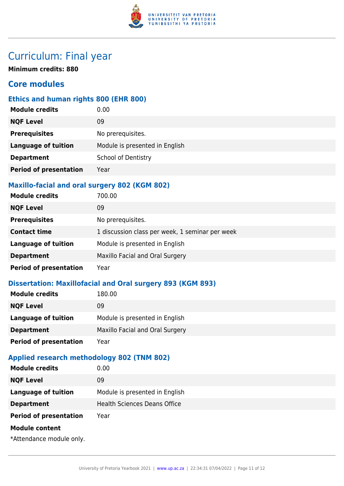

### Curriculum: Final year

**Minimum credits: 880**

#### **Core modules**

#### **Ethics and human rights 800 (EHR 800)**

| <b>Module credits</b>         | 0.00                           |
|-------------------------------|--------------------------------|
| <b>NQF Level</b>              | 09                             |
| <b>Prerequisites</b>          | No prerequisites.              |
| <b>Language of tuition</b>    | Module is presented in English |
| <b>Department</b>             | <b>School of Dentistry</b>     |
| <b>Period of presentation</b> | Year                           |
|                               |                                |

#### **Maxillo-facial and oral surgery 802 (KGM 802)**

| <b>Module credits</b>         | 700.00                                          |
|-------------------------------|-------------------------------------------------|
| <b>NQF Level</b>              | 09                                              |
| <b>Prerequisites</b>          | No prerequisites.                               |
| <b>Contact time</b>           | 1 discussion class per week, 1 seminar per week |
| <b>Language of tuition</b>    | Module is presented in English                  |
| <b>Department</b>             | Maxillo Facial and Oral Surgery                 |
| <b>Period of presentation</b> | Year                                            |

#### **Dissertation: Maxillofacial and Oral surgery 893 (KGM 893)**

| <b>Module credits</b>         | 180.00                          |
|-------------------------------|---------------------------------|
| <b>NQF Level</b>              | 09                              |
| <b>Language of tuition</b>    | Module is presented in English  |
| <b>Department</b>             | Maxillo Facial and Oral Surgery |
| <b>Period of presentation</b> | Year                            |
|                               |                                 |

#### **Applied research methodology 802 (TNM 802)**

| <b>Module credits</b>         | 0.00                                |
|-------------------------------|-------------------------------------|
| <b>NQF Level</b>              | 09                                  |
| <b>Language of tuition</b>    | Module is presented in English      |
| <b>Department</b>             | <b>Health Sciences Deans Office</b> |
| <b>Period of presentation</b> | Year                                |
| <b>Module content</b>         |                                     |
| *Attendance module only.      |                                     |